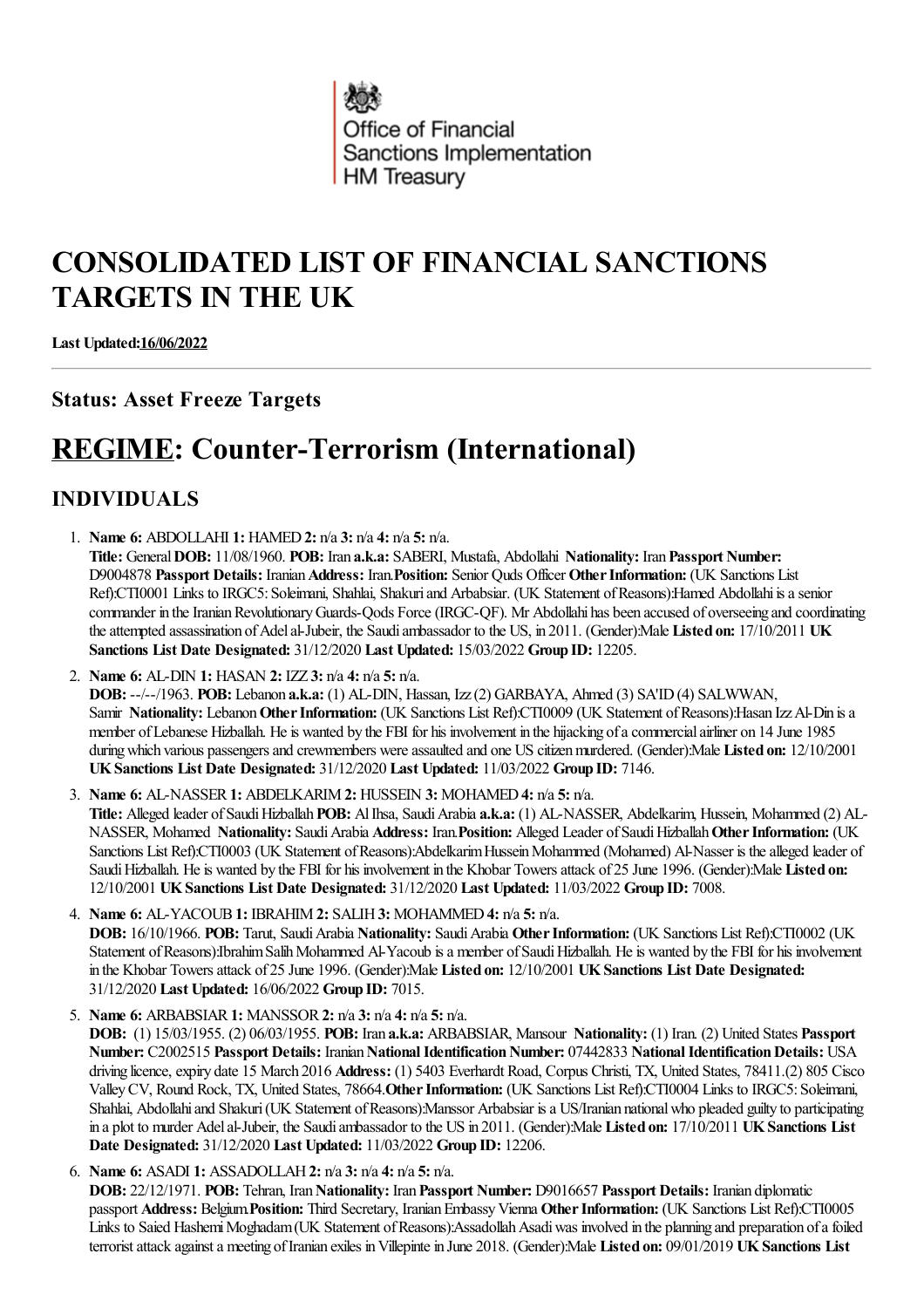

# **CONSOLIDATED LIST OF FINANCIAL SANCTIONS TARGETS IN THE UK**

**Last Updated:16/06/2022**

### **Status: Asset Freeze Targets**

# **REGIME: Counter-Terrorism (International)**

## **INDIVIDUALS**

- 1. **Name 6:** ABDOLLAHI **1:** HAMED**2:** n/a **3:** n/a **4:** n/a **5:** n/a. **Title:** General**DOB:** 11/08/1960. **POB:** Iran **a.k.a:** SABERI, Mustafa, Abdollahi **Nationality:** Iran**Passport Number:** D9004878 **Passport Details:** Iranian**Address:** Iran.**Position:** Senior Quds Officer **OtherInformation:** (UK Sanctions List Ref):CTI0001 Links to IRGC5: Soleimani, Shahlai, Shakuri and Arbabsiar. (UK Statement of Reasons):Hamed Abdollahi is a senior commander in the Iranian Revolutionary Guards-Qods Force (IRGC-QF). Mr Abdollahi has been accused of overseeing and coordinating theattempted assassination ofAdelal-Jubeir, the Saudiambassador to the US, in 2011. (Gender):Male **Listed on:** 17/10/2011 **UK Sanctions List Date Designated:** 31/12/2020 **Last Updated:** 15/03/2022 **Group ID:** 12205.
- 2. **Name 6:** AL-DIN **1:** HASAN **2:** IZZ **3:** n/a **4:** n/a **5:** n/a.

**DOB:** --/--/1963. **POB:** Lebanon **a.k.a:** (1) AL-DIN, Hassan, Izz(2) GARBAYA, Ahmed (3) SA'ID(4) SALWWAN, Samir Nationality: Lebanon Other Information: (UK Sanctions List Ref):CTI0009 (UK Statement of Reasons):Hasan Izz Al-Din is a member ofLebanese Hizballah. Heis wanted by the FBI for his involvement in the hijacking ofacommercialairliner on 14 June 1985 during which various passengers and crewmembers were assaulted and one US citizen murdered. (Gender):Male Listed on: 12/10/2001 **UKSanctions List Date Designated:** 31/12/2020 **Last Updated:** 11/03/2022 **Group ID:** 7146.

- 3. **Name 6:** AL-NASSER**1:** ABDELKARIM**2:** HUSSEIN **3:** MOHAMED**4:** n/a **5:** n/a. **Title:** Alleged leader ofSaudiHizballah**POB:** AlIhsa, SaudiArabia **a.k.a:** (1) AL-NASSER, Abdelkarim, Hussein, Mohammed (2) AL-**NASSER, Mohamed Nationality: Saudi Arabia Address: Iran.Position: Alleged Leader of Saudi Hizballah Other Information: (UK** Sanctions List Ref):CTI0003 (UK Statement of Reasons):Abdelkarim Hussein Mohammed (Mohamed) Al-Nasser is the alleged leader of Saudi Hizballah. He is wanted by the FBI for his involvement in the Khobar Towers attack of 25 June 1996. (Gender):Male Listed on: 12/10/2001 **UKSanctions List Date Designated:** 31/12/2020 **Last Updated:** 11/03/2022 **Group ID:** 7008.
- 4. **Name 6:** AL-YACOUB**1:** IBRAHIM**2:** SALIH**3:** MOHAMMED**4:** n/a **5:** n/a. **DOB:** 16/10/1966. **POB:** Tarut, SaudiArabia **Nationality:** SaudiArabia **OtherInformation:** (UK Sanctions List Ref):CTI0002 (UK Statement of Reasons):Ibrahim Salih Mohammed Al-Yacoub is a member of Saudi Hizballah. He is wanted by the FBI for his involvement in the Khobar Towersattack of 25 June 1996. (Gender):Male **Listed on:** 12/10/2001 **UKSanctions List Date Designated:** 31/12/2020 **Last Updated:** 16/06/2022 **Group ID:** 7015.
- 5. **Name 6:** ARBABSIAR**1:** MANSSOR**2:** n/a **3:** n/a **4:** n/a **5:** n/a.

**DOB:** (1) 15/03/1955. (2) 06/03/1955. **POB:** Iran **a.k.a:** ARBABSIAR, Mansour **Nationality:** (1) Iran. (2) United States **Passport Number:** C2002515 **Passport Details:** Iranian**NationalIdentificationNumber:** 07442833 **NationalIdentificationDetails:** USA driving licence, expiry date 15 March 2016 Address: (1) 5403 Everhardt Road, Corpus Christi, TX, United States, 78411.(2) 805 Cisco ValleyCV, Round Rock, TX, United States, 78664.**OtherInformation:** (UK Sanctions List Ref):CTI0004 Links to IRGC5:Soleimani, Shahlai, Abdollahi and Shakuri (UK Statement of Reasons):Manssor Arbabsiar is a US/Iranian national who pleaded guilty to participating in a plot to murder Adelal-Jubeir, the Saudiambassador to the US in 2011. (Gender):Male **Listed on:** 17/10/2011 **UKSanctions List Date Designated:** 31/12/2020 **Last Updated:** 11/03/2022 **Group ID:** 12206.

6. **Name 6:** ASADI **1:** ASSADOLLAH**2:** n/a **3:** n/a **4:** n/a **5:** n/a.

**DOB:** 22/12/1971. **POB:** Tehran, Iran**Nationality:** Iran**Passport Number:** D9016657 **Passport Details:** Iranian diplomatic passport **Address:** Belgium Position: Third Secretary, Iranian Embassy Vienna Other Information: (UK Sanctions List Ref):CTI0005 Links to Saied Hashemi Moghadam (UK Statement of Reasons):Assadollah Asadi was involved in the planning and preparation of a foiled terroristattack againsta meeting ofIranian exiles inVillepintein June 2018. (Gender):Male **Listed on:** 09/01/2019 **UKSanctions List**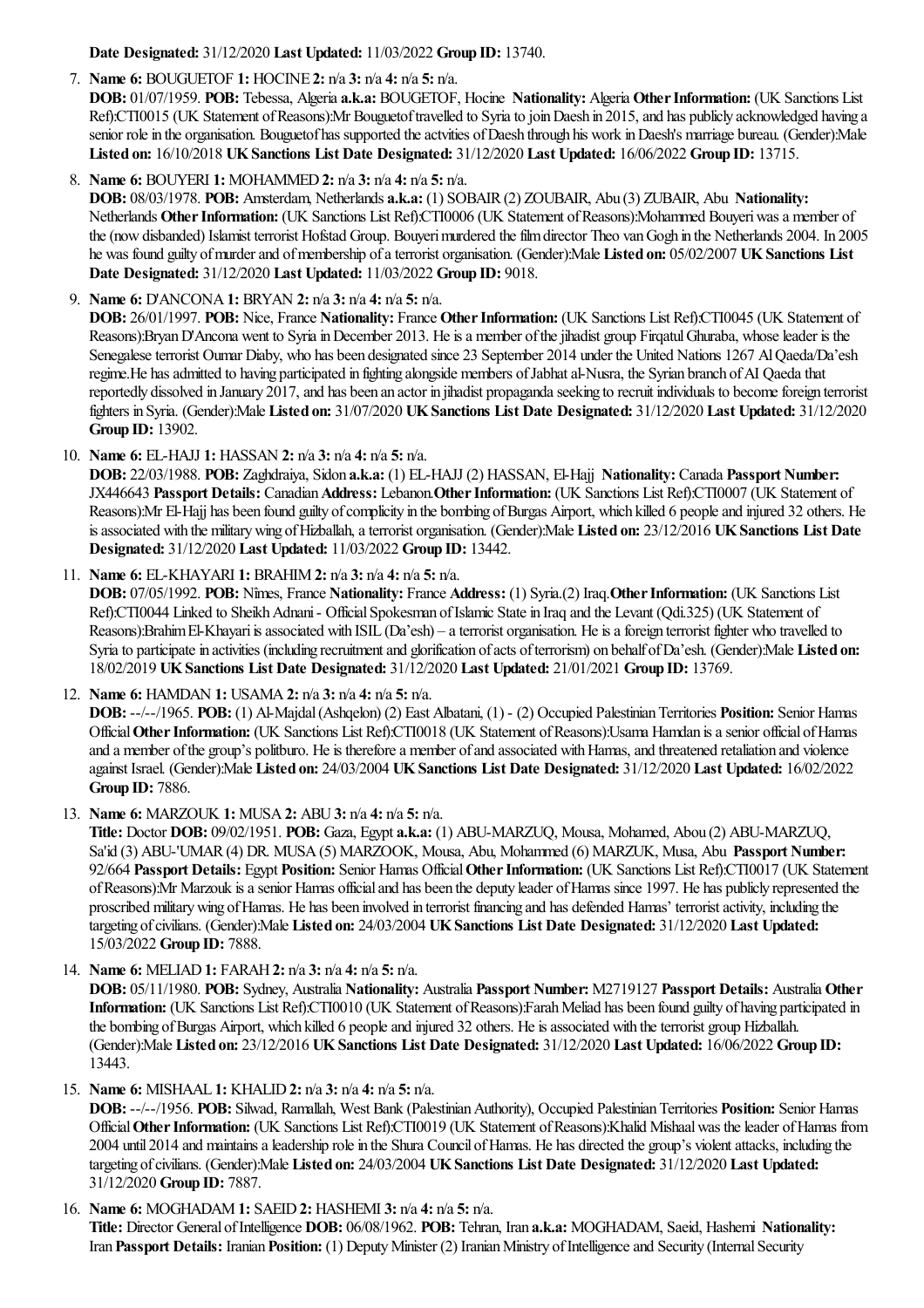**Date Designated:** 31/12/2020 **Last Updated:** 11/03/2022 **Group ID:** 13740.

#### 7. **Name 6:** BOUGUETOF **1:** HOCINE **2:** n/a **3:** n/a **4:** n/a **5:** n/a.

**DOB:** 01/07/1959. **POB:** Tebessa, Algeria **a.k.a:** BOUGETOF, Hocine **Nationality:** Algeria **OtherInformation:** (UK Sanctions List Ref):CTI0015 (UK Statement of Reasons):Mr Bouguetof travelled to Syria to join Daesh in 2015, and has publicly acknowledged having a senior role in the organisation. Bouguetof has supported the actvities of Daesh through his work in Daesh's marriage bureau. (Gender):Male **Listed on:** 16/10/2018 **UKSanctions List Date Designated:** 31/12/2020 **Last Updated:** 16/06/2022 **Group ID:** 13715.

8. **Name 6:** BOUYERI **1:** MOHAMMED**2:** n/a **3:** n/a **4:** n/a **5:** n/a.

**DOB:** 08/03/1978. **POB:** Amsterdam, Netherlands **a.k.a:** (1) SOBAIR(2) ZOUBAIR, Abu (3) ZUBAIR, Abu **Nationality:** Netherlands **OtherInformation:** (UK Sanctions List Ref):CTI0006 (UK Statement ofReasons):Mohammed Bouyeriwasa member of the (now disbanded) Islamist terrorist Hofstad Group. Bouyeri murdered the film director Theo van Gogh in the Netherlands 2004. In 2005 he was found guilty ofmurderand ofmembership ofaterrorist organisation. (Gender):Male **Listed on:** 05/02/2007 **UKSanctions List Date Designated:** 31/12/2020 **Last Updated:** 11/03/2022 **Group ID:** 9018.

9. **Name 6:** D'ANCONA**1:** BRYAN **2:** n/a **3:** n/a **4:** n/a **5:** n/a.

**DOB:** 26/01/1997. **POB:** Nice, France **Nationality:** France **Other Information:** (UK Sanctions List Ref):CTI0045 (UK Statement of Reasons):Bryan D'Ancona went to Syria in December 2013. He is a member of the jihadist group Firgatul Ghuraba, whose leader is the Senegalese terrorist Oumar Diaby, who has been designated since 23 September 2014 under the United Nations 1267 Al Qaeda/Da'esh regime. He has admitted to having participated in fighting alongside members of Jabhat al-Nusra, the Syrian branch of AI Qaeda that reportedly dissolved in January 2017, and has been an actor in jihadist propaganda seeking to recruit individuals to become foreign terrorist fighters in Syria. (Gender):Male **Listed on:** 31/07/2020 **UKSanctions List Date Designated:** 31/12/2020 **Last Updated:** 31/12/2020 **Group ID:** 13902.

10. **Name 6:** EL-HAJJ **1:** HASSAN **2:** n/a **3:** n/a **4:** n/a **5:** n/a.

**DOB:** 22/03/1988. **POB:** Zaghdraiya, Sidon **a.k.a:** (1) EL-HAJJ (2) HASSAN, El-Hajj **Nationality:** Canada **Passport Number:** JX446643 **Passport Details:** Canadian**Address:** Lebanon.**OtherInformation:** (UK Sanctions List Ref):CTI0007 (UK Statement of Reasons): Mr El-Hajj has been found guilty of complicity in the bombing of Burgas Airport, which killed 6 people and injured 32 others. He isassociated with the militarywing ofHizballah,aterrorist organisation. (Gender):Male **Listed on:** 23/12/2016 **UKSanctions List Date Designated:** 31/12/2020 **Last Updated:** 11/03/2022 **Group ID:** 13442.

11. **Name 6:** EL-KHAYARI **1:** BRAHIM**2:** n/a **3:** n/a **4:** n/a **5:** n/a.

**DOB:** 07/05/1992. **POB:** Nîmes, France **Nationality:** France **Address:** (1) Syria.(2) Iraq.**OtherInformation:** (UK Sanctions List Ref):CTI0044 Linked to Sheikh Adnani - Official Spokesman of Islamic State in Iraq and the Levant (Qdi.325) (UK Statement of Reasons):Brahim El-Khayari is associated with ISIL (Da'esh) – a terrorist organisation. He is a foreign terrorist fighter who travelled to Syria to participate in activities (including recruitment and glorification of acts of terrorism) on behalf of Da'esh. (Gender):Male Listed on: 18/02/2019 **UKSanctions List Date Designated:** 31/12/2020 **Last Updated:** 21/01/2021 **Group ID:** 13769.

12. **Name 6:** HAMDAN **1:** USAMA**2:** n/a **3:** n/a **4:** n/a **5:** n/a. **DOB:** --/--/1965. **POB:** (1) Al-Majdal(Ashqelon) (2) East Albatani, (1) - (2) Occupied PalestinianTerritories **Position:** Senior Hamas Official **Other Information:** (UK Sanctions List Ref):CTI0018 (UK Statement of Reasons):Usama Hamdan is a senior official of Hamas and a member of the group's politburo. He is therefore a member of and associated with Hamas, and threatened retaliation and violence against Israel. (Gender):Male **Listed on:** 24/03/2004 **UKSanctions List Date Designated:** 31/12/2020 **Last Updated:** 16/02/2022 **Group ID:** 7886.

13. **Name 6:** MARZOUK **1:** MUSA**2:** ABU**3:** n/a **4:** n/a **5:** n/a.

**Title:** Doctor **DOB:** 09/02/1951. **POB:** Gaza, Egypt **a.k.a:** (1) ABU-MARZUQ, Mousa, Mohamed, Abou (2) ABU-MARZUQ, Sa'id (3) ABU-'UMAR(4) DR. MUSA(5) MARZOOK, Mousa, Abu, Mohammed (6) MARZUK, Musa, Abu **Passport Number:** 92/664 **Passport Details:** Egypt **Position:** Senior Hamas Official**OtherInformation:** (UK Sanctions List Ref):CTI0017 (UK Statement ofReasons):Mr Marzouk isasenior Hamas officialand has been the deputy leader ofHamas since 1997. He has publicly represented the proscribed militarywing ofHamas. He has been involved in terrorist financing and has defended Hamas' terroristactivity, including the targeting ofcivilians. (Gender):Male **Listed on:** 24/03/2004 **UKSanctions List Date Designated:** 31/12/2020 **Last Updated:** 15/03/2022 **Group ID:** 7888.

14. **Name 6:** MELIAD**1:** FARAH**2:** n/a **3:** n/a **4:** n/a **5:** n/a.

**DOB:** 05/11/1980. **POB:** Sydney, Australia **Nationality:** Australia **Passport Number:** M2719127 **Passport Details:** Australia **Other Information:** (UK Sanctions List Ref):CTI0010 (UK Statement of Reasons):Farah Meliad has been found guilty of having participated in the bombing of Burgas Airport, which killed 6 people and injured 32 others. He is associated with the terrorist group Hizballah. (Gender):Male **Listed on:** 23/12/2016 **UKSanctions List Date Designated:** 31/12/2020 **Last Updated:** 16/06/2022 **Group ID:** 13443.

15. **Name 6:** MISHAAL **1:** KHALID**2:** n/a **3:** n/a **4:** n/a **5:** n/a.

**DOB:** --/--/1956. **POB:** Silwad, Ramallah, West Bank (Palestinian Authority), Occupied Palestinian Territories Position: Senior Hamas Official Other Information: (UK Sanctions List Ref):CTI0019 (UK Statement of Reasons):Khalid Mishaal was the leader of Hamas from 2004 until 2014 and maintains a leadership role in the Shura Council of Hamas. He has directed the group's violent attacks, including the targeting ofcivilians. (Gender):Male **Listed on:** 24/03/2004 **UKSanctions List Date Designated:** 31/12/2020 **Last Updated:** 31/12/2020 **Group ID:** 7887.

16. **Name 6:** MOGHADAM**1:** SAEID**2:** HASHEMI **3:** n/a **4:** n/a **5:** n/a. **Title:** Director General ofIntelligence **DOB:** 06/08/1962. **POB:** Tehran, Iran **a.k.a:** MOGHADAM, Saeid, Hashemi **Nationality:** Iran Passport Details: Iranian Position: (1) Deputy Minister (2) Iranian Ministry of Intelligence and Security (Internal Security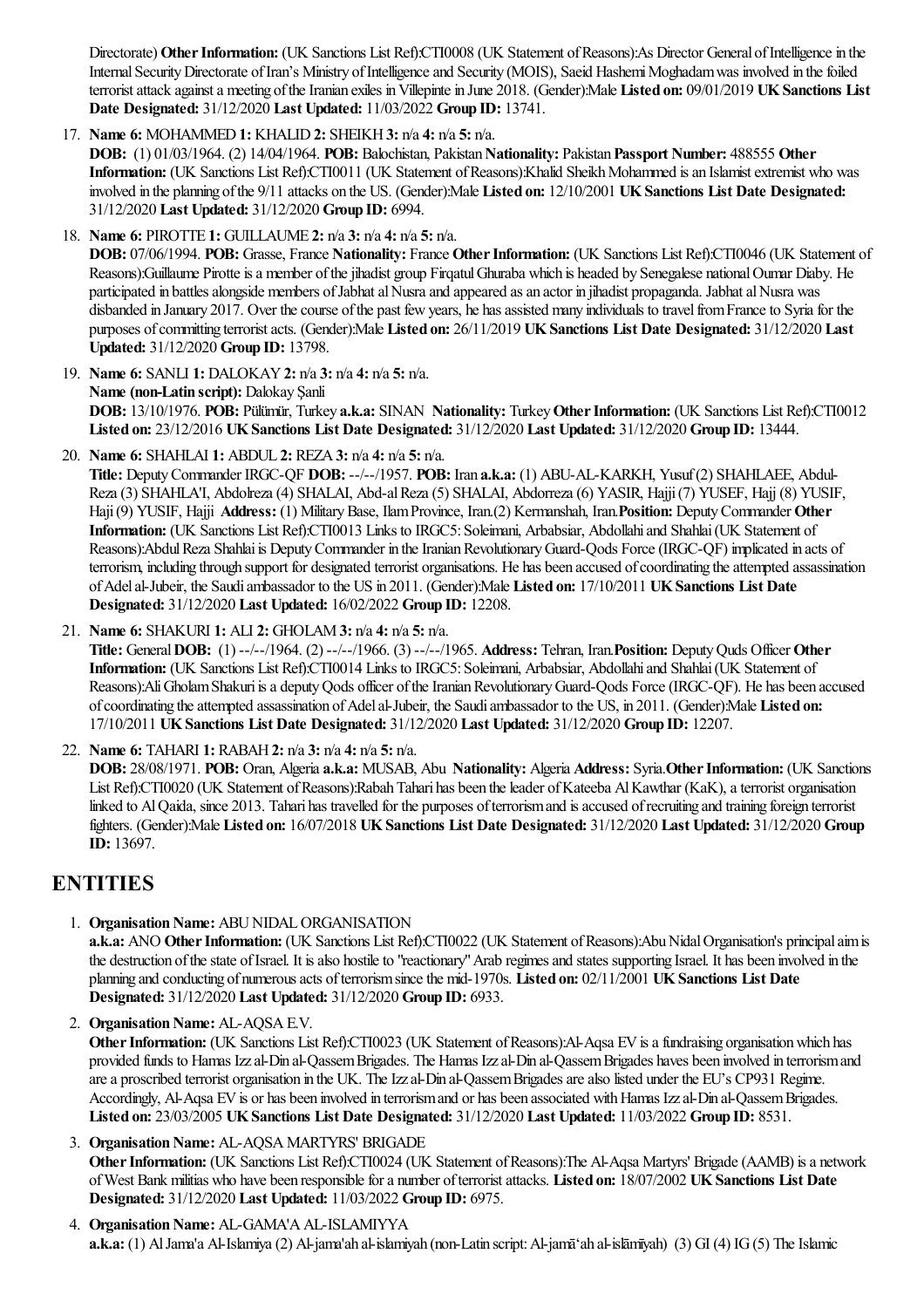Directorate) Other Information: (UK Sanctions List Ref):CTI0008 (UK Statement of Reasons):As Director General of Intelligence in the Internal Security Directorate of Iran's Ministry of Intelligence and Security (MOIS), Saeid Hashemi Moghadam was involved in the foiled terrorist attack against a meeting of the Iranian exiles in Villepinte in June 2018. (Gender):Male Listed on: 09/01/2019 UK Sanctions List **Date Designated:** 31/12/2020 **Last Updated:** 11/03/2022 **Group ID:** 13741.

17. **Name 6:** MOHAMMED**1:** KHALID**2:** SHEIKH**3:** n/a **4:** n/a **5:** n/a.

**DOB:** (1) 01/03/1964. (2) 14/04/1964. **POB:** Balochistan, Pakistan**Nationality:** Pakistan**Passport Number:** 488555 **Other** Information: (UK Sanctions List Ref):CTI0011 (UK Statement of Reasons):Khalid Sheikh Mohammed is an Islamist extremist who was involved in the planning ofthe 9/11 attacks on the US. (Gender):Male **Listed on:** 12/10/2001 **UKSanctions List Date Designated:** 31/12/2020 **Last Updated:** 31/12/2020 **Group ID:** 6994.

18. **Name 6:** PIROTTE **1:** GUILLAUME **2:** n/a **3:** n/a **4:** n/a **5:** n/a.

**DOB:** 07/06/1994. **POB:** Grasse, France **Nationality:** France **OtherInformation:** (UK Sanctions List Ref):CTI0046 (UK Statement of Reasons):Guillaume Pirotte is a member of the jihadist group Firqatul Ghuraba which is headed by Senegalese national Oumar Diaby. He participated in battles alongside members of Jabhat al Nusra and appeared as an actor in jihadist propaganda. Jabhat al Nusra was disbanded in January 2017. Over the course of the past few years, he has assisted many individuals to travel from France to Syria for the purposes ofcommitting terroristacts. (Gender):Male **Listed on:** 26/11/2019 **UKSanctions List Date Designated:** 31/12/2020 **Last Updated:** 31/12/2020 **Group ID:** 13798.

19. **Name 6:** SANLI **1:** DALOKAY**2:** n/a **3:** n/a **4:** n/a **5:** n/a. **Name (non-Latin script):** Dalokay Şanli **DOB:** 13/10/1976. **POB:** Pülümür, Turkey **a.k.a:** SINAN **Nationality:** Turkey**OtherInformation:** (UK Sanctions List Ref):CTI0012 **Listed on:** 23/12/2016 **UKSanctions List Date Designated:** 31/12/2020 **Last Updated:** 31/12/2020 **Group ID:** 13444.

20. **Name 6:** SHAHLAI **1:** ABDUL **2:** REZA**3:** n/a **4:** n/a **5:** n/a.

**Title:** DeputyCommander IRGC-QF **DOB:** --/--/1957. **POB:** Iran **a.k.a:** (1) ABU-AL-KARKH, Yusuf(2) SHAHLAEE, Abdul-Reza(3) SHAHLA'I, Abdolreza(4) SHALAI, Abd-alReza(5) SHALAI, Abdorreza(6) YASIR, Hajji(7) YUSEF, Hajj (8) YUSIF, Haji(9) YUSIF, Hajji **Address:** (1) MilitaryBase, IlamProvince, Iran.(2) Kermanshah, Iran.**Position:** DeputyCommander **Other** Information: (UK Sanctions List Ref):CTI0013 Links to IRGC5: Soleimani, Arbabsiar, Abdollahi and Shahlai (UK Statement of Reasons):Abdul Reza Shahlai is Deputy Commander in the Iranian Revolutionary Guard-Oods Force (IRGC-OF) implicated in acts of terrorism, including through support for designated terrorist organisations. He has been accused of coordinating the attempted assassination ofAdelal-Jubeir, the Saudiambassador to the US in 2011. (Gender):Male **Listed on:** 17/10/2011 **UKSanctions List Date Designated:** 31/12/2020 **Last Updated:** 16/02/2022 **Group ID:** 12208.

21. **Name 6:** SHAKURI **1:** ALI **2:** GHOLAM**3:** n/a **4:** n/a **5:** n/a.

**Title:** General**DOB:** (1) --/--/1964. (2) --/--/1966. (3) --/--/1965. **Address:** Tehran, Iran.**Position:** DeputyQuds Officer **Other** Information: (UK Sanctions List Ref):CTI0014 Links to IRGC5: Soleimani, Arbabsiar, Abdollahi and Shahlai (UK Statement of Reasons):Ali Gholam Shakuri is a deputy Qods officer of the Iranian Revolutionary Guard-Qods Force (IRGC-QF). He has been accused ofcoordinating theattempted assassination ofAdelal-Jubeir, the Saudiambassador to the US, in 2011. (Gender):Male **Listed on:** 17/10/2011 **UKSanctions List Date Designated:** 31/12/2020 **Last Updated:** 31/12/2020 **Group ID:** 12207.

22. **Name 6:** TAHARI **1:** RABAH**2:** n/a **3:** n/a **4:** n/a **5:** n/a.

**DOB:** 28/08/1971. **POB:** Oran, Algeria **a.k.a:** MUSAB, Abu **Nationality:** Algeria **Address:** Syria.**OtherInformation:** (UK Sanctions List Ref):CTI0020 (UK Statement of Reasons):Rabah Tahari has been the leader of Kateeba Al Kawthar (KaK), a terrorist organisation linked to Al Qaida, since 2013. Tahari has travelled for the purposes of terrorism and is accused of recruiting and training foreign terrorist fighters. (Gender):Male **Listed on:** 16/07/2018 **UKSanctions List Date Designated:** 31/12/2020 **Last Updated:** 31/12/2020 **Group ID:** 13697.

### **ENTITIES**

1. Organisation Name: ABU NIDAL ORGANISATION

**a.k.a:** ANO Other Information: (UK Sanctions List Ref):CTI0022 (UK Statement of Reasons):Abu Nidal Organisation's principal aim is the destruction of the state of Israel. It is also hostile to "reactionary" Arab regimes and states supporting Israel. It has been involved in the planning and conducting of numerousacts ofterrorismsincethe mid-1970s. **Listed on:** 02/11/2001 **UKSanctions List Date Designated:** 31/12/2020 **Last Updated:** 31/12/2020 **Group ID:** 6933.

2. **Organisation Name:** AL-AQSA E.V.

**Other Information:** (UK Sanctions List Ref):CTI0023 (UK Statement of Reasons):Al-Aqsa EV is a fundraising organisation which has provided funds to Hamas Izzal-Din al-QassemBrigades. The Hamas Izzal-Din al-QassemBrigades haves been involved in terrorismand are a proscribed terrorist organisation in the UK. The Izz al-Din al-Qassem Brigades are also listed under the EU's CP931 Regime. Accordingly, Al-Aqsa EV is or has been involved in terrorismand or has been associated with Hamas Izzal-Din al-Oassem Brigades. **Listed on:** 23/03/2005 **UKSanctions List Date Designated:** 31/12/2020 **Last Updated:** 11/03/2022 **Group ID:** 8531.

- 3. Organisation Name: AL-AQSA MARTYRS' BRIGADE **Other Information:** (UK Sanctions List Ref):CTI0024 (UK Statement of Reasons):The Al-Aqsa Martyrs' Brigade (AAMB) is a network ofWest Bank militias who have been responsiblefora number ofterroristattacks. **Listed on:** 18/07/2002 **UKSanctions List Date Designated:** 31/12/2020 **Last Updated:** 11/03/2022 **Group ID:** 6975.
- 4. **Organisation Name: AL-GAMA'A AL-ISLAMIYYA a.k.a:** (1) Al Jama'a Al-Islamiya (2) Al-jama'ah al-islamiyah (non-Latin script: Al-jamāʿah al-islāmīyah) (3) GI (4) IG (5) The Islamic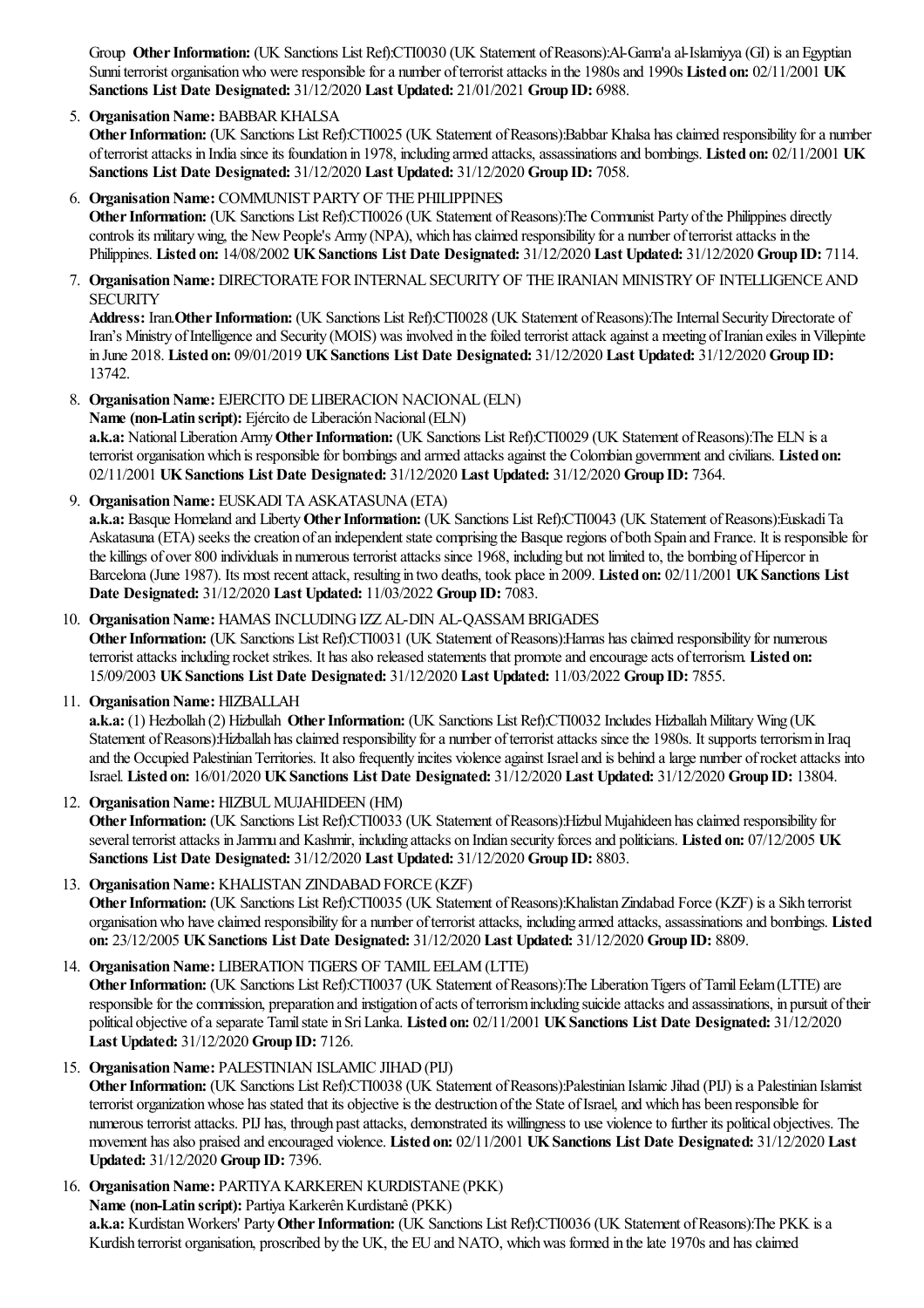Group **Other Information:** (UK Sanctions List Ref):CTI0030 (UK Statement of Reasons):Al-Gama'a al-Islamiyya (GI) is an Egyptian Sunnit errorist organisation who were responsible for a number of terrorist attacks in the 1980s and 1990s Listed on: 02/11/2001 UK **Sanctions List Date Designated:** 31/12/2020 **Last Updated:** 21/01/2021 **Group ID:** 6988.

#### 5. **Organisation Name: BABBAR KHALSA**

**Other Information:** (UK Sanctions List Ref):CTI0025 (UK Statement of Reasons):Babbar Khalsa has claimed responsibility for a number ofterroristattacks in Indiasinceits foundation in 1978, including armed attacks,assassinationsand bombings. **Listed on:** 02/11/2001 **UK Sanctions List Date Designated:** 31/12/2020 **Last Updated:** 31/12/2020 **Group ID:** 7058.

- 6. **Organisation Name:** COMMUNIST PARTY OF THE PHILIPPINES **Other Information:** (UK Sanctions List Ref):CTI0026 (UK Statement of Reasons):The Communist Party of the Philippines directly controls its military wing, the New People's Army (NPA), which has claimed responsibility for a number of terrorist attacks in the Philippines. **Listed on:** 14/08/2002 **UKSanctions List Date Designated:** 31/12/2020 **Last Updated:** 31/12/2020 **Group ID:** 7114.
- 7. Organisation Name: DIRECTORATE FOR INTERNAL SECURITY OF THE IRANIAN MINISTRY OF INTELLIGENCE AND **SECURITY**

Address: Iran. Other Information: (UK Sanctions List Ref):CTI0028 (UK Statement of Reasons):The Internal Security Directorate of Iran's Ministry of Intelligence and Security (MOIS) was involved in the foiled terrorist attack against a meeting of Iranian exiles in Villepinte in June 2018. **Listed on:** 09/01/2019 **UKSanctions List Date Designated:** 31/12/2020 **Last Updated:** 31/12/2020 **Group ID:** 13742.

- 8. Organisation Name: EJERCITO DE LIBERACION NACIONAL (ELN) **Name** (non-Latin script): Ejército de Liberación Nacional (ELN) a.k.a: National Liberation Army Other Information: (UK Sanctions List Ref):CTI0029 (UK Statement of Reasons):The ELN is a terrorist organisation which is responsible for bombings and armed attacks against the Colombian government and civilians. Listed on: 02/11/2001 **UKSanctions List Date Designated:** 31/12/2020 **Last Updated:** 31/12/2020 **Group ID:** 7364.
- 9. **Organisation Name:** EUSKADI TA ASKATASUNA (ETA)

**a.k.a:** Basque Homeland and Liberty**OtherInformation:** (UK Sanctions List Ref):CTI0043 (UK Statement ofReasons):EuskadiTa Askatasuna (ETA) seeks the creation of an independent state comprising the Basque regions of both Spain and France. It is responsible for the killings of over 800 individuals in numerous terrorist attacks since 1968, including but not limited to, the bombing of Hipercor in Barcelona(June 1987). Its most recentattack, resulting in two deaths, took placein 2009. **Listed on:** 02/11/2001 **UKSanctions List Date Designated:** 31/12/2020 **Last Updated:** 11/03/2022 **Group ID:** 7083.

- 10. **Organisation Name: HAMAS INCLUDING IZZ AL-DIN AL-QASSAM BRIGADES Other Information:** (UK Sanctions List Ref):CTI0031 (UK Statement of Reasons):Hamas has claimed responsibility for numerous terrorist attacks including rocket strikes. It has also released statements that promote and encourage acts of terrorism. Listed on: 15/09/2003 **UKSanctions List Date Designated:** 31/12/2020 **Last Updated:** 11/03/2022 **Group ID:** 7855.
- 11. **Organisation Name: HIZBALLAH**

**a.k.a:** (1) Hezbollah (2) Hizbullah **OtherInformation:** (UK Sanctions List Ref):CTI0032 Includes HizballahMilitaryWing (UK Statement of Reasons): Hizballah has claimed responsibility for a number of terrorist attacks since the 1980s. It supports terrorism in Iraq and the Occupied Palestinian Territories. It also frequently incites violence against Israel and is behind a large number of rocket attacks into Israel. **Listed on:** 16/01/2020 **UKSanctions List Date Designated:** 31/12/2020 **Last Updated:** 31/12/2020 **Group ID:** 13804.

#### 12. Organisation Name: HIZBUL MUJAHIDEEN (HM)

**Other Information:** (UK Sanctions List Ref):CTI0033 (UK Statement of Reasons):Hizbul Mujahideen has claimed responsibility for severalterroristattacks in Jammu and Kashmir, including attacks on Indian security forcesand politicians. **Listed on:** 07/12/2005 **UK Sanctions List Date Designated:** 31/12/2020 **Last Updated:** 31/12/2020 **Group ID:** 8803.

#### 13. **Organisation Name: KHALISTAN ZINDABAD FORCE (KZF)**

Other Information: (UK Sanctions List Ref):CTI0035 (UK Statement of Reasons):Khalistan Zindabad Force (KZF) is a Sikh terrorist organisation who have claimed responsibility for a number of terrorist attacks, including armed attacks, assassinations and bombings. Listed **on:** 23/12/2005 **UKSanctions List Date Designated:** 31/12/2020 **Last Updated:** 31/12/2020 **Group ID:** 8809.

#### 14. **Organisation Name: LIBERATION TIGERS OF TAMIL EELAM (LTTE)**

**Other Information:** (UK Sanctions List Ref):CTI0037 (UK Statement of Reasons):The Liberation Tigers of Tamil Eelam (LTTE) are responsible for the commission, preparation and instigation of acts of terrorism including suicide attacks and assassinations, in pursuit of their political objective ofaseparate Tamilstatein SriLanka. **Listed on:** 02/11/2001 **UKSanctions List Date Designated:** 31/12/2020 **Last Updated:** 31/12/2020 **Group ID:** 7126.

#### 15. **Organisation Name: PALESTINIAN ISLAMIC JIHAD (PIJ)**

Other Information: (UK Sanctions List Ref):CTI0038 (UK Statement of Reasons):Palestinian Islamic Jihad (PIJ) is a Palestinian Islamist terrorist organization whose has stated that its objective is the destruction of the State of Israel, and which has been responsible for numerous terroristattacks. PIJ has, through pastattacks, demonstrated its willingness to use violenceto further its political objectives. The movement hasalso praised and encouraged violence. **Listed on:** 02/11/2001 **UKSanctions List Date Designated:** 31/12/2020 **Last Updated:** 31/12/2020 **Group ID:** 7396.

16. **Organisation Name: PARTIYA KARKEREN KURDISTANE (PKK) Name** (non-Latin script): Partiya Karkerên Kurdistanê (PKK) **a.k.a:** KurdistanWorkers' Party**OtherInformation:** (UK Sanctions List Ref):CTI0036 (UK Statement ofReasons):The PKK isa Kurdish terrorist organisation, proscribed by the UK, the EU and NATO, which was formed in the late 1970s and has claimed